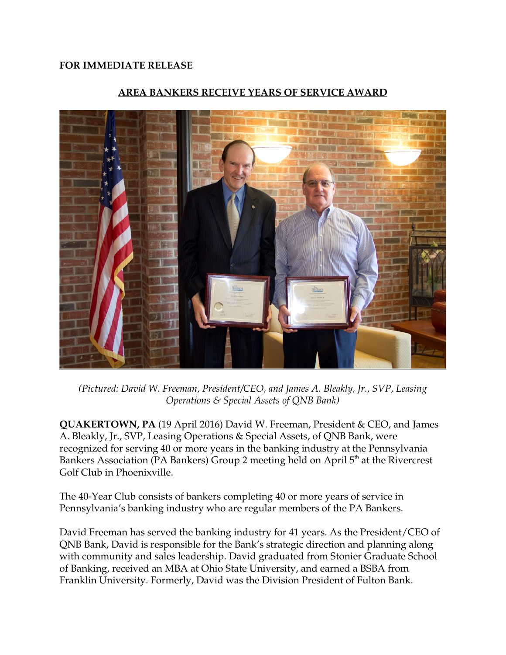## **FOR IMMEDIATE RELEASE**



## **AREA BANKERS RECEIVE YEARS OF SERVICE AWARD**

*(Pictured: David W. Freeman, President/CEO, and James A. Bleakly, Jr., SVP, Leasing Operations & Special Assets of QNB Bank)*

**QUAKERTOWN, PA** (19 April 2016) David W. Freeman, President & CEO, and James A. Bleakly, Jr., SVP, Leasing Operations & Special Assets, of QNB Bank, were recognized for serving 40 or more years in the banking industry at the Pennsylvania Bankers Association (PA Bankers) Group 2 meeting held on April  $5<sup>th</sup>$  at the Rivercrest Golf Club in Phoenixville.

The 40-Year Club consists of bankers completing 40 or more years of service in Pennsylvania's banking industry who are regular members of the PA Bankers.

David Freeman has served the banking industry for 41 years. As the President/CEO of QNB Bank, David is responsible for the Bank's strategic direction and planning along with community and sales leadership. David graduated from Stonier Graduate School of Banking, received an MBA at Ohio State University, and earned a BSBA from Franklin University. Formerly, David was the Division President of Fulton Bank.